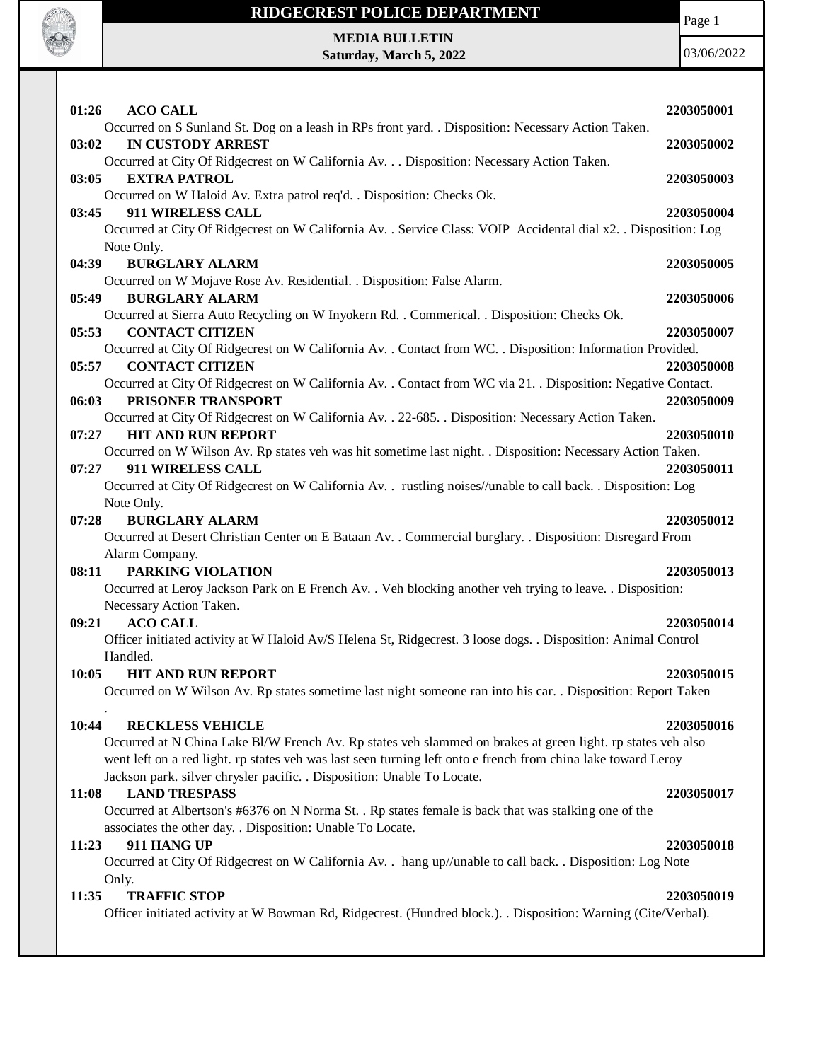

Page 1

**MEDIA BULLETIN Saturday, March 5, 2022**

03/06/2022

| 01:26<br><b>ACO CALL</b>                                                                                                                  | 2203050001 |
|-------------------------------------------------------------------------------------------------------------------------------------------|------------|
| Occurred on S Sunland St. Dog on a leash in RPs front yard. . Disposition: Necessary Action Taken.                                        |            |
| <b>IN CUSTODY ARREST</b><br>03:02                                                                                                         | 2203050002 |
| Occurred at City Of Ridgecrest on W California Av. Disposition: Necessary Action Taken.                                                   |            |
| 03:05<br><b>EXTRA PATROL</b>                                                                                                              | 2203050003 |
| Occurred on W Haloid Av. Extra patrol req'd. . Disposition: Checks Ok.                                                                    |            |
| 911 WIRELESS CALL<br>03:45                                                                                                                | 2203050004 |
| Occurred at City Of Ridgecrest on W California Av. . Service Class: VOIP Accidental dial x2. . Disposition: Log                           |            |
| Note Only.                                                                                                                                |            |
| <b>BURGLARY ALARM</b><br>04:39                                                                                                            | 2203050005 |
| Occurred on W Mojave Rose Av. Residential. . Disposition: False Alarm.                                                                    |            |
| 05:49<br><b>BURGLARY ALARM</b>                                                                                                            | 2203050006 |
| Occurred at Sierra Auto Recycling on W Inyokern Rd. . Commerical. . Disposition: Checks Ok.                                               |            |
| <b>CONTACT CITIZEN</b><br>05:53                                                                                                           | 2203050007 |
| Occurred at City Of Ridgecrest on W California Av. . Contact from WC. . Disposition: Information Provided.                                |            |
| <b>CONTACT CITIZEN</b><br>05:57                                                                                                           | 2203050008 |
| Occurred at City Of Ridgecrest on W California Av. . Contact from WC via 21. . Disposition: Negative Contact.                             |            |
| PRISONER TRANSPORT<br>06:03                                                                                                               | 2203050009 |
| Occurred at City Of Ridgecrest on W California Av. . 22-685. . Disposition: Necessary Action Taken.<br><b>HIT AND RUN REPORT</b><br>07:27 |            |
| Occurred on W Wilson Av. Rp states veh was hit sometime last night. . Disposition: Necessary Action Taken.                                | 2203050010 |
| 911 WIRELESS CALL<br>07:27                                                                                                                | 2203050011 |
|                                                                                                                                           |            |
| Occurred at City Of Ridgecrest on W California Av. . rustling noises//unable to call back. . Disposition: Log<br>Note Only.               |            |
|                                                                                                                                           |            |
|                                                                                                                                           |            |
| 07:28<br><b>BURGLARY ALARM</b>                                                                                                            | 2203050012 |
| Occurred at Desert Christian Center on E Bataan Av. . Commercial burglary. . Disposition: Disregard From                                  |            |
| Alarm Company.                                                                                                                            |            |
| PARKING VIOLATION<br>08:11                                                                                                                | 2203050013 |
| Occurred at Leroy Jackson Park on E French Av. . Veh blocking another veh trying to leave. . Disposition:                                 |            |
| Necessary Action Taken.                                                                                                                   |            |
| <b>ACO CALL</b><br>09:21                                                                                                                  | 2203050014 |
| Officer initiated activity at W Haloid Av/S Helena St, Ridgecrest. 3 loose dogs. . Disposition: Animal Control                            |            |
| Handled.                                                                                                                                  |            |
| <b>HIT AND RUN REPORT</b><br>10:05                                                                                                        | 2203050015 |
| Occurred on W Wilson Av. Rp states sometime last night someone ran into his car. . Disposition: Report Taken                              |            |
|                                                                                                                                           |            |
| 10:44<br><b>RECKLESS VEHICLE</b>                                                                                                          | 2203050016 |
| Occurred at N China Lake Bl/W French Av. Rp states veh slammed on brakes at green light. rp states veh also                               |            |
| went left on a red light. rp states veh was last seen turning left onto e french from china lake toward Leroy                             |            |
| Jackson park. silver chrysler pacific. . Disposition: Unable To Locate.                                                                   |            |
| <b>LAND TRESPASS</b><br>11:08                                                                                                             | 2203050017 |
| Occurred at Albertson's #6376 on N Norma St. . Rp states female is back that was stalking one of the                                      |            |
| associates the other day. . Disposition: Unable To Locate.<br>911 HANG UP                                                                 |            |
| 11:23<br>Occurred at City Of Ridgecrest on W California Av. . hang up//unable to call back. . Disposition: Log Note                       | 2203050018 |
| Only.                                                                                                                                     |            |
| 11:35<br><b>TRAFFIC STOP</b>                                                                                                              | 2203050019 |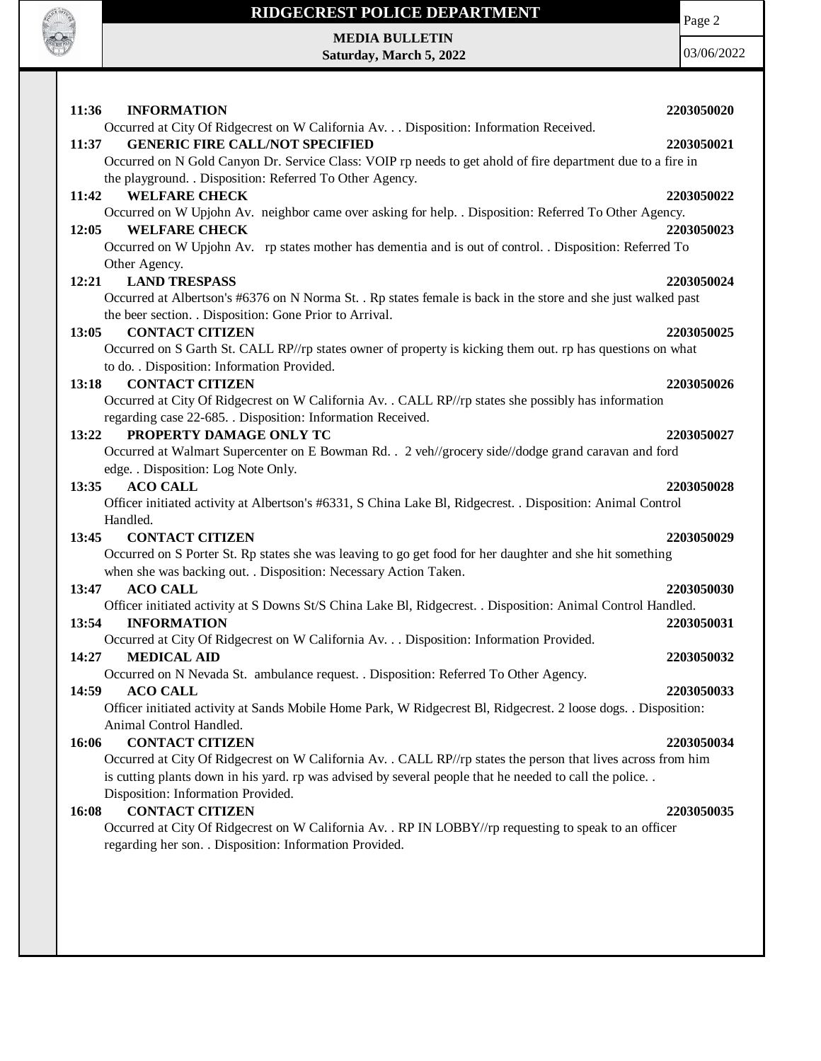

**MEDIA BULLETIN Saturday, March 5, 2022** Page 2

03/06/2022

| 11:36<br><b>INFORMATION</b>                                                                                                                                         | 2203050020 |
|---------------------------------------------------------------------------------------------------------------------------------------------------------------------|------------|
| Occurred at City Of Ridgecrest on W California Av. Disposition: Information Received.                                                                               |            |
| <b>GENERIC FIRE CALL/NOT SPECIFIED</b><br>11:37                                                                                                                     | 2203050021 |
| Occurred on N Gold Canyon Dr. Service Class: VOIP rp needs to get ahold of fire department due to a fire in                                                         |            |
| the playground. . Disposition: Referred To Other Agency.                                                                                                            |            |
| 11:42<br><b>WELFARE CHECK</b>                                                                                                                                       | 2203050022 |
| Occurred on W Upjohn Av. neighbor came over asking for help. . Disposition: Referred To Other Agency.                                                               |            |
| <b>WELFARE CHECK</b><br>12:05                                                                                                                                       | 2203050023 |
| Occurred on W Upjohn Av. rp states mother has dementia and is out of control. . Disposition: Referred To                                                            |            |
| Other Agency.                                                                                                                                                       |            |
| 12:21<br><b>LAND TRESPASS</b>                                                                                                                                       | 2203050024 |
| Occurred at Albertson's #6376 on N Norma St. . Rp states female is back in the store and she just walked past                                                       |            |
| the beer section. . Disposition: Gone Prior to Arrival.                                                                                                             |            |
| <b>CONTACT CITIZEN</b><br>13:05                                                                                                                                     | 2203050025 |
| Occurred on S Garth St. CALL RP//rp states owner of property is kicking them out. rp has questions on what                                                          |            |
| to do. . Disposition: Information Provided.<br><b>CONTACT CITIZEN</b>                                                                                               |            |
| 13:18                                                                                                                                                               | 2203050026 |
| Occurred at City Of Ridgecrest on W California Av. . CALL RP//rp states she possibly has information<br>regarding case 22-685. . Disposition: Information Received. |            |
| PROPERTY DAMAGE ONLY TC<br>13:22                                                                                                                                    | 2203050027 |
| Occurred at Walmart Supercenter on E Bowman Rd. . 2 veh//grocery side//dodge grand caravan and ford                                                                 |            |
| edge. . Disposition: Log Note Only.                                                                                                                                 |            |
| 13:35<br><b>ACO CALL</b>                                                                                                                                            | 2203050028 |
| Officer initiated activity at Albertson's #6331, S China Lake Bl, Ridgecrest. . Disposition: Animal Control                                                         |            |
| Handled.                                                                                                                                                            |            |
| <b>CONTACT CITIZEN</b><br>13:45                                                                                                                                     | 2203050029 |
| Occurred on S Porter St. Rp states she was leaving to go get food for her daughter and she hit something                                                            |            |
| when she was backing out. . Disposition: Necessary Action Taken.                                                                                                    |            |
| <b>ACO CALL</b><br>13:47                                                                                                                                            | 2203050030 |
| Officer initiated activity at S Downs St/S China Lake Bl, Ridgecrest. . Disposition: Animal Control Handled.                                                        |            |
| 13:54<br><b>INFORMATION</b>                                                                                                                                         | 2203050031 |
| Occurred at City Of Ridgecrest on W California Av. Disposition: Information Provided.                                                                               |            |
| 14:27<br><b>MEDICAL AID</b>                                                                                                                                         | 2203050032 |
| Occurred on N Nevada St. ambulance request. . Disposition: Referred To Other Agency.                                                                                |            |
| 14:59<br><b>ACO CALL</b>                                                                                                                                            | 2203050033 |
| Officer initiated activity at Sands Mobile Home Park, W Ridgecrest Bl, Ridgecrest. 2 loose dogs. . Disposition:                                                     |            |
| Animal Control Handled.                                                                                                                                             |            |
| 16:06<br><b>CONTACT CITIZEN</b><br>Occurred at City Of Ridgecrest on W California Av. . CALL RP//rp states the person that lives across from him                    | 2203050034 |
| is cutting plants down in his yard. rp was advised by several people that he needed to call the police                                                              |            |
| Disposition: Information Provided.                                                                                                                                  |            |
| <b>CONTACT CITIZEN</b><br>16:08                                                                                                                                     | 2203050035 |
| Occurred at City Of Ridgecrest on W California Av. . RP IN LOBBY//rp requesting to speak to an officer                                                              |            |
| regarding her son. . Disposition: Information Provided.                                                                                                             |            |
|                                                                                                                                                                     |            |
|                                                                                                                                                                     |            |
|                                                                                                                                                                     |            |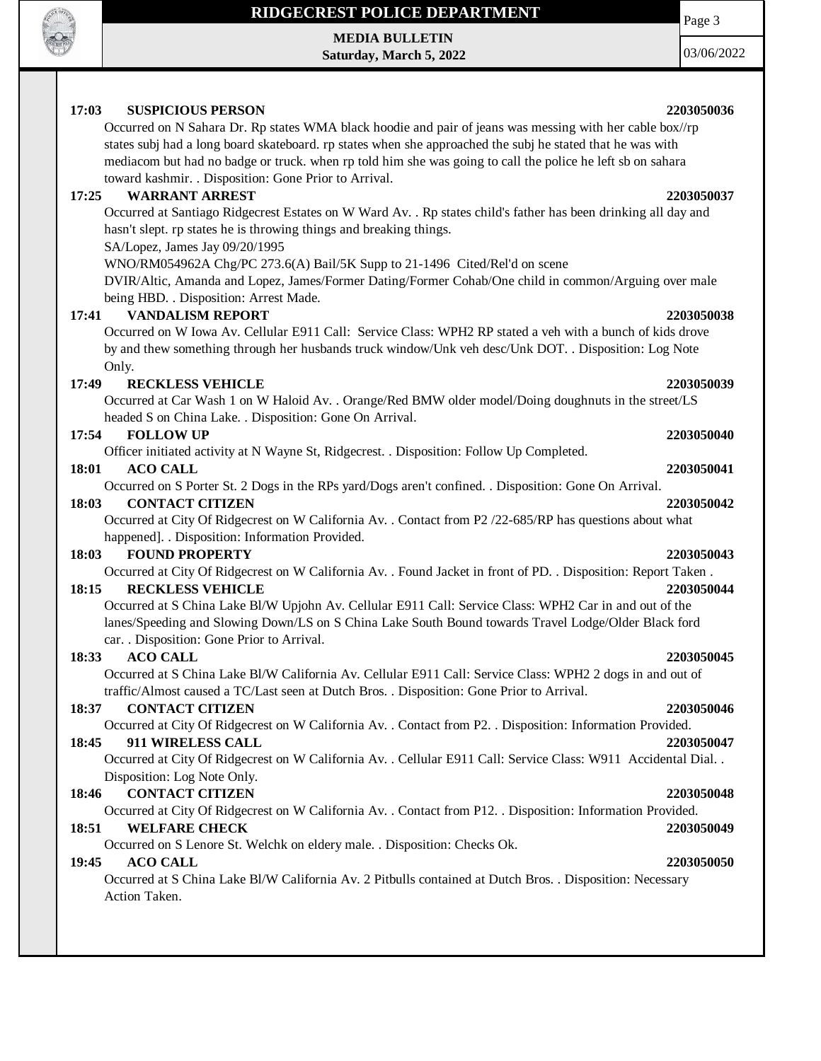

**17:03 SUSPICIOUS PERSON 2203050036**

**MEDIA BULLETIN Saturday, March 5, 2022** 03/06/2022

Page 3

#### Occurred on N Sahara Dr. Rp states WMA black hoodie and pair of jeans was messing with her cable box//rp states subj had a long board skateboard. rp states when she approached the subj he stated that he was with mediacom but had no badge or truck. when rp told him she was going to call the police he left sb on sahara toward kashmir. . Disposition: Gone Prior to Arrival. **17:25 WARRANT ARREST 2203050037** Occurred at Santiago Ridgecrest Estates on W Ward Av. . Rp states child's father has been drinking all day and hasn't slept. rp states he is throwing things and breaking things. SA/Lopez, James Jay 09/20/1995 WNO/RM054962A Chg/PC 273.6(A) Bail/5K Supp to 21-1496 Cited/Rel'd on scene DVIR/Altic, Amanda and Lopez, James/Former Dating/Former Cohab/One child in common/Arguing over male being HBD. . Disposition: Arrest Made. **17:41 VANDALISM REPORT 2203050038** Occurred on W Iowa Av. Cellular E911 Call: Service Class: WPH2 RP stated a veh with a bunch of kids drove by and thew something through her husbands truck window/Unk veh desc/Unk DOT. . Disposition: Log Note Only. **17:49 RECKLESS VEHICLE 2203050039** Occurred at Car Wash 1 on W Haloid Av. . Orange/Red BMW older model/Doing doughnuts in the street/LS headed S on China Lake. . Disposition: Gone On Arrival. **17:54 FOLLOW UP 2203050040** Officer initiated activity at N Wayne St, Ridgecrest. . Disposition: Follow Up Completed. **18:01 ACO CALL 2203050041** Occurred on S Porter St. 2 Dogs in the RPs yard/Dogs aren't confined. . Disposition: Gone On Arrival. **18:03 CONTACT CITIZEN 2203050042** Occurred at City Of Ridgecrest on W California Av. . Contact from P2 /22-685/RP has questions about what happened]. . Disposition: Information Provided. **18:03 FOUND PROPERTY 2203050043** Occurred at City Of Ridgecrest on W California Av. . Found Jacket in front of PD. . Disposition: Report Taken . **18:15 RECKLESS VEHICLE 2203050044** 2203050044 Occurred at S China Lake Bl/W Upjohn Av. Cellular E911 Call: Service Class: WPH2 Car in and out of the lanes/Speeding and Slowing Down/LS on S China Lake South Bound towards Travel Lodge/Older Black ford car. . Disposition: Gone Prior to Arrival. **18:33 ACO CALL 2203050045** Occurred at S China Lake Bl/W California Av. Cellular E911 Call: Service Class: WPH2 2 dogs in and out of traffic/Almost caused a TC/Last seen at Dutch Bros. . Disposition: Gone Prior to Arrival. **18:37 CONTACT CITIZEN 2203050046** Occurred at City Of Ridgecrest on W California Av. . Contact from P2. . Disposition: Information Provided. **18:45 911 WIRELESS CALL 2203050047** Occurred at City Of Ridgecrest on W California Av. . Cellular E911 Call: Service Class: W911 Accidental Dial. . Disposition: Log Note Only. **18:46 CONTACT CITIZEN 2203050048** Occurred at City Of Ridgecrest on W California Av. . Contact from P12. . Disposition: Information Provided. **18:51 WELFARE CHECK 2203050049** Occurred on S Lenore St. Welchk on eldery male. . Disposition: Checks Ok. **19:45 ACO CALL 2203050050** Occurred at S China Lake Bl/W California Av. 2 Pitbulls contained at Dutch Bros. . Disposition: Necessary Action Taken.